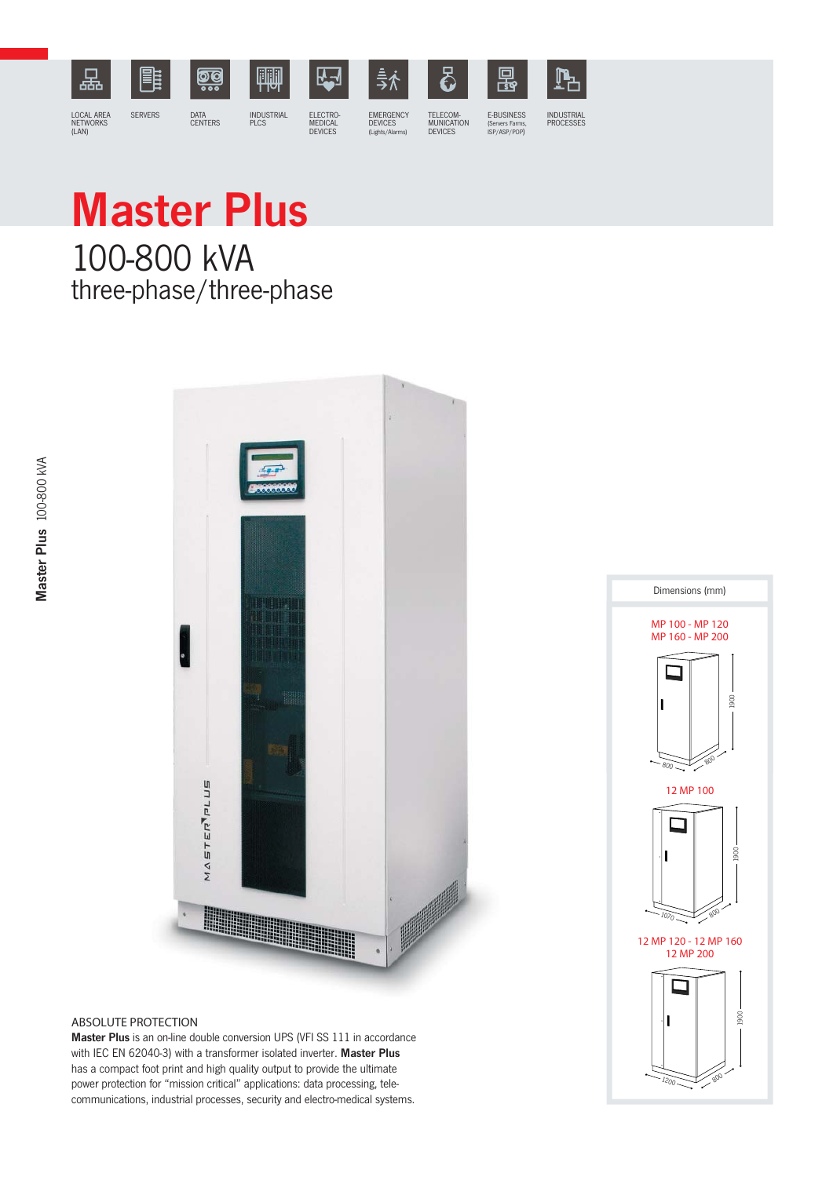

# Master Plus 100-800 kVA three-phase/three-phase





# ABSOLUTE PROTECTION

Master Plus is an on-line double conversion UPS (VFI SS 111 in accordance with IEC EN 62040-3) with a transformer isolated inverter. Master Plus has a compact foot print and high quality output to provide the ultimate power protection for "mission critical" applications: data processing, telecommunications, industrial processes, security and electro-medical systems.

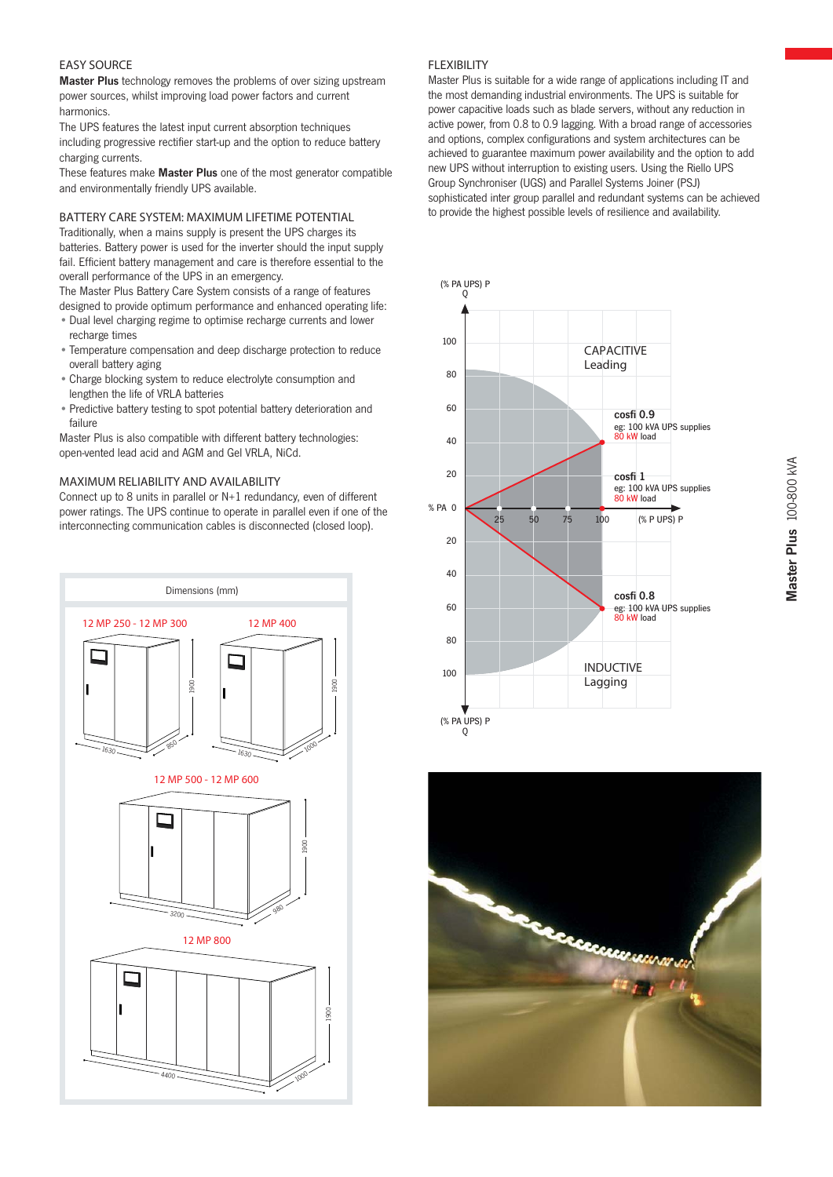#### EASY SOURCE

Master Plus technology removes the problems of over sizing upstream power sources, whilst improving load power factors and current harmonics.

The UPS features the latest input current absorption techniques including progressive rectifier start-up and the option to reduce battery charging currents.

These features make Master Plus one of the most generator compatible and environmentally friendly UPS available.

## BATTERY CARE SYSTEM: MAXIMUM LIFETIME POTENTIAL

Traditionally, when a mains supply is present the UPS charges its batteries. Battery power is used for the inverter should the input supply fail. Efficient battery management and care is therefore essential to the overall performance of the UPS in an emergency.

The Master Plus Battery Care System consists of a range of features designed to provide optimum performance and enhanced operating life:

- Dual level charging regime to optimise recharge currents and lower recharge times
- Temperature compensation and deep discharge protection to reduce overall battery aging
- Charge blocking system to reduce electrolyte consumption and lengthen the life of VRLA batteries
- Predictive battery testing to spot potential battery deterioration and failure

Master Plus is also compatible with different battery technologies: open-vented lead acid and AGM and Gel VRLA, NiCd.

#### MAXIMUM RELIABILITY AND AVAILABILITY

Connect up to 8 units in parallel or N+1 redundancy, even of different power ratings. The UPS continue to operate in parallel even if one of the interconnecting communication cables is disconnected (closed loop).



#### **FLEXIBILITY**

Master Plus is suitable for a wide range of applications including IT and the most demanding industrial environments. The UPS is suitable for power capacitive loads such as blade servers, without any reduction in active power, from 0.8 to 0.9 lagging. With a broad range of accessories and options, complex configurations and system architectures can be achieved to guarantee maximum power availability and the option to add new UPS without interruption to existing users. Using the Riello UPS Group Synchroniser (UGS) and Parallel Systems Joiner (PSJ) sophisticated inter group parallel and redundant systems can be achieved to provide the highest possible levels of resilience and availability.



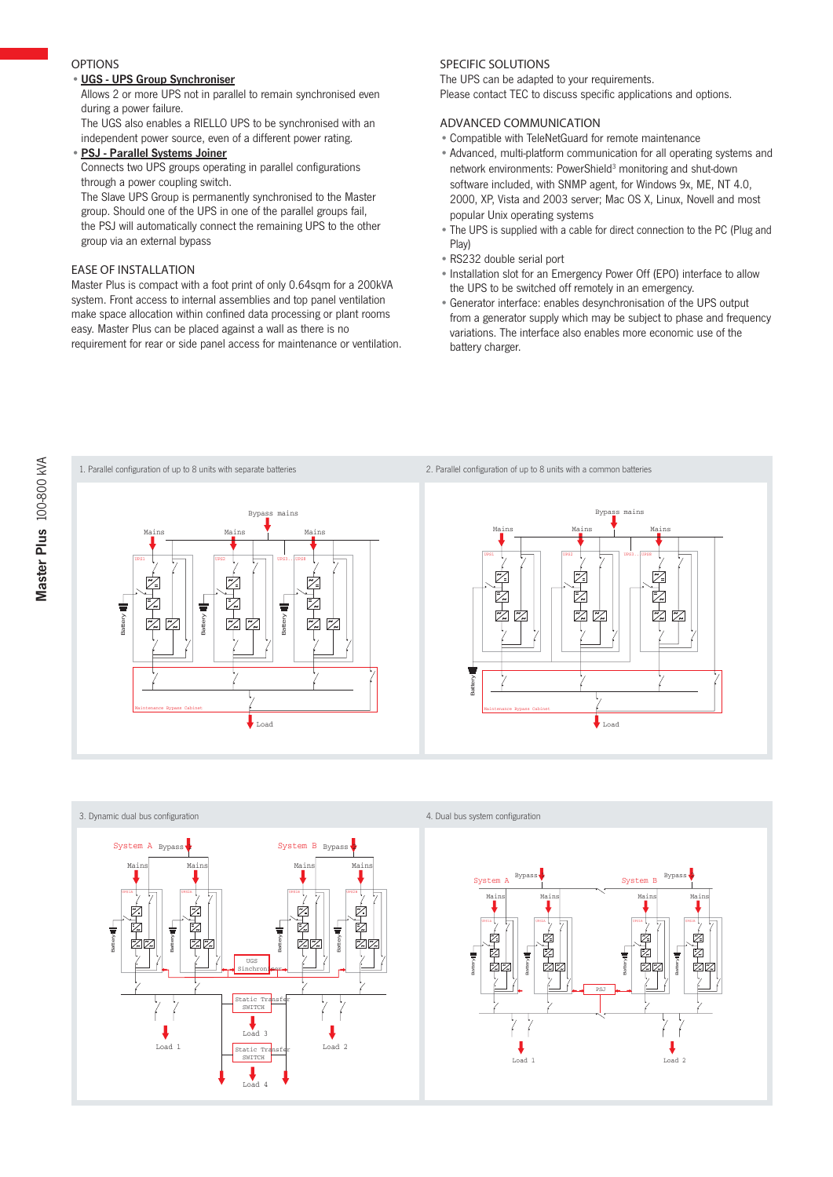## **OPTIONS**

# • UGS - UPS Group Synchroniser

 Allows 2 or more UPS not in parallel to remain synchronised even during a power failure.

 The UGS also enables a RIELLO UPS to be synchronised with an independent power source, even of a different power rating.

• PSJ - Parallel Systems Joiner

 Connects two UPS groups operating in parallel configurations through a power coupling switch.

 The Slave UPS Group is permanently synchronised to the Master group. Should one of the UPS in one of the parallel groups fail, the PSJ will automatically connect the remaining UPS to the other group via an external bypass

#### EASE OF INSTALLATION

Master Plus is compact with a foot print of only 0.64sqm for a 200kVA system. Front access to internal assemblies and top panel ventilation make space allocation within confined data processing or plant rooms easy. Master Plus can be placed against a wall as there is no requirement for rear or side panel access for maintenance or ventilation.

## SPECIFIC SOLUTIONS

The UPS can be adapted to your requirements. Please contact TEC to discuss specific applications and options.

#### ADVANCED COMMUNICATION

- Compatible with TeleNetGuard for remote maintenance
- Advanced, multi-platform communication for all operating systems and network environments: PowerShield<sup>3</sup> monitoring and shut-down software included, with SNMP agent, for Windows 9x, ME, NT 4.0, 2000, XP, Vista and 2003 server; Mac OS X, Linux, Novell and most popular Unix operating systems
- The UPS is supplied with a cable for direct connection to the PC (Plug and Play)
- RS232 double serial port
- Installation slot for an Emergency Power Off (EPO) interface to allow the UPS to be switched off remotely in an emergency.
- Generator interface: enables desynchronisation of the UPS output from a generator supply which may be subject to phase and frequency variations. The interface also enables more economic use of the battery charger.



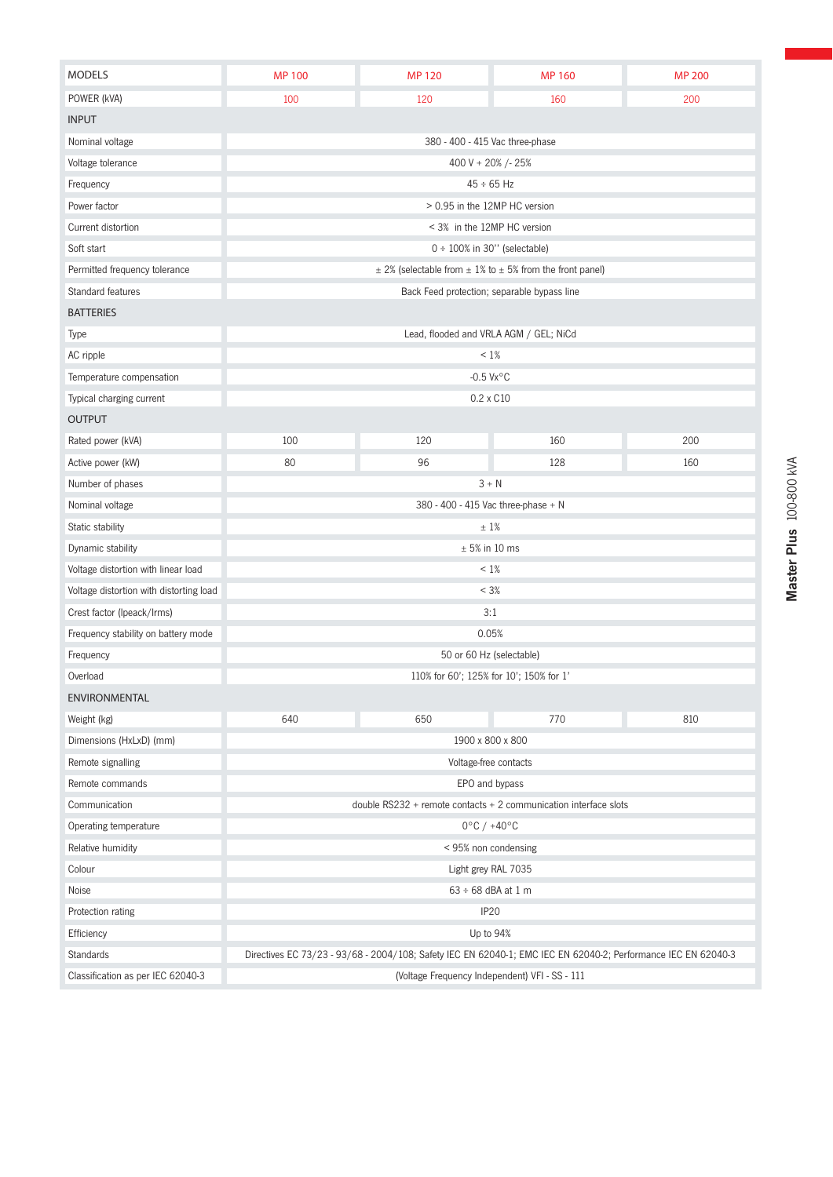| <b>MODELS</b>                           | <b>MP 100</b>                                                                                                 | <b>MP120</b>                    | <b>MP 160</b> | <b>MP 200</b> |  |  |
|-----------------------------------------|---------------------------------------------------------------------------------------------------------------|---------------------------------|---------------|---------------|--|--|
| POWER (kVA)                             | 100                                                                                                           | 120                             | 160           | 200           |  |  |
| <b>INPUT</b>                            |                                                                                                               |                                 |               |               |  |  |
| Nominal voltage                         |                                                                                                               | 380 - 400 - 415 Vac three-phase |               |               |  |  |
| Voltage tolerance                       | 400 V + 20% /- 25%                                                                                            |                                 |               |               |  |  |
| Frequency                               | $45 \div 65$ Hz                                                                                               |                                 |               |               |  |  |
| Power factor                            | > 0.95 in the 12MP HC version                                                                                 |                                 |               |               |  |  |
| Current distortion                      | < 3% in the 12MP HC version                                                                                   |                                 |               |               |  |  |
| Soft start                              | 0 ÷ 100% in 30" (selectable)                                                                                  |                                 |               |               |  |  |
| Permitted frequency tolerance           | $\pm$ 2% (selectable from $\pm$ 1% to $\pm$ 5% from the front panel)                                          |                                 |               |               |  |  |
| Standard features                       | Back Feed protection; separable bypass line                                                                   |                                 |               |               |  |  |
| <b>BATTERIES</b>                        |                                                                                                               |                                 |               |               |  |  |
| Type                                    | Lead, flooded and VRLA AGM / GEL; NiCd                                                                        |                                 |               |               |  |  |
| AC ripple                               | $< 1\%$                                                                                                       |                                 |               |               |  |  |
| Temperature compensation                | $-0.5$ Vx $^{\circ}$ C                                                                                        |                                 |               |               |  |  |
| Typical charging current                | $0.2 \times C10$                                                                                              |                                 |               |               |  |  |
| <b>OUTPUT</b>                           |                                                                                                               |                                 |               |               |  |  |
| Rated power (kVA)                       | 100                                                                                                           | 120                             | 160           | 200           |  |  |
| Active power (kW)                       | 80                                                                                                            | 96                              | 128           | 160           |  |  |
| Number of phases                        |                                                                                                               | $3 + N$                         |               |               |  |  |
| Nominal voltage                         | 380 - 400 - 415 Vac three-phase + N                                                                           |                                 |               |               |  |  |
| Static stability                        | ±1%                                                                                                           |                                 |               |               |  |  |
| Dynamic stability                       | $\pm$ 5% in 10 ms                                                                                             |                                 |               |               |  |  |
| Voltage distortion with linear load     | $< 1\%$                                                                                                       |                                 |               |               |  |  |
| Voltage distortion with distorting load | < 3%                                                                                                          |                                 |               |               |  |  |
| Crest factor (Ipeack/Irms)              | 3:1                                                                                                           |                                 |               |               |  |  |
| Frequency stability on battery mode     | 0.05%                                                                                                         |                                 |               |               |  |  |
| Frequency                               | 50 or 60 Hz (selectable)                                                                                      |                                 |               |               |  |  |
| Overload                                | 110% for 60'; 125% for 10'; 150% for 1'                                                                       |                                 |               |               |  |  |
| <b>ENVIRONMENTAL</b>                    |                                                                                                               |                                 |               |               |  |  |
| Weight (kg)                             | 640                                                                                                           | 650                             | 770           | 810           |  |  |
| Dimensions (HxLxD) (mm)                 | 1900 x 800 x 800                                                                                              |                                 |               |               |  |  |
| Remote signalling                       | Voltage-free contacts                                                                                         |                                 |               |               |  |  |
| Remote commands                         | EPO and bypass                                                                                                |                                 |               |               |  |  |
| Communication                           | double $RS232$ + remote contacts + 2 communication interface slots                                            |                                 |               |               |  |  |
| Operating temperature                   | $0^{\circ}$ C / +40 $^{\circ}$ C                                                                              |                                 |               |               |  |  |
| Relative humidity                       | < 95% non condensing                                                                                          |                                 |               |               |  |  |
| Colour                                  | Light grey RAL 7035                                                                                           |                                 |               |               |  |  |
| Noise                                   | $63 \div 68$ dBA at $1 \text{ m}$                                                                             |                                 |               |               |  |  |
| Protection rating                       |                                                                                                               | <b>IP20</b>                     |               |               |  |  |
| Efficiency                              | Up to 94%                                                                                                     |                                 |               |               |  |  |
| Standards                               | Directives EC 73/23 - 93/68 - 2004/108; Safety IEC EN 62040-1; EMC IEC EN 62040-2; Performance IEC EN 62040-3 |                                 |               |               |  |  |
| Classification as per IEC 62040-3       | (Voltage Frequency Independent) VFI - SS - 111                                                                |                                 |               |               |  |  |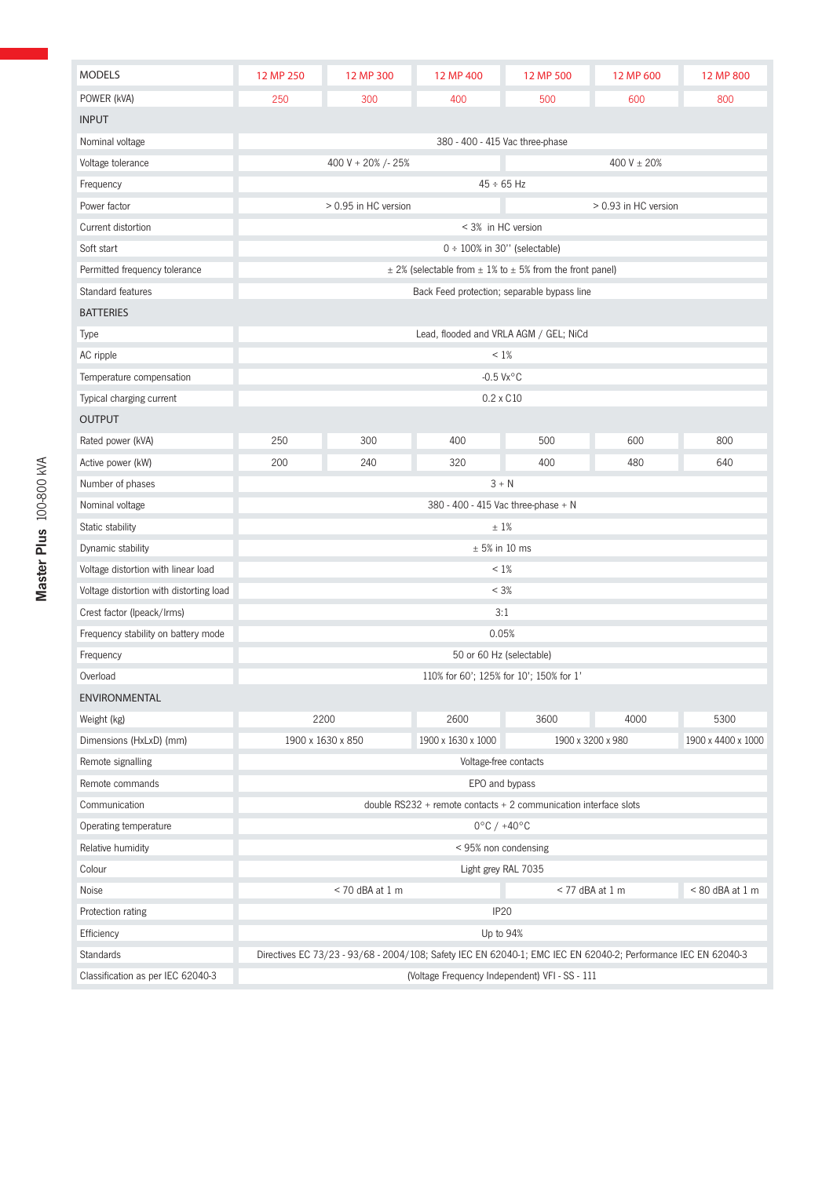| <b>MODELS</b>                           | 12 MP 250                                                                                                     | 12 MP 300        | 12 MP 400          | 12 MP 500         | 12 MP 600 | 12 MP 800           |  |  |
|-----------------------------------------|---------------------------------------------------------------------------------------------------------------|------------------|--------------------|-------------------|-----------|---------------------|--|--|
| POWER (kVA)                             | 250                                                                                                           | 300              | 400                | 500               | 600       | 800                 |  |  |
| <b>INPUT</b>                            |                                                                                                               |                  |                    |                   |           |                     |  |  |
| Nominal voltage                         | 380 - 400 - 415 Vac three-phase                                                                               |                  |                    |                   |           |                     |  |  |
| Voltage tolerance                       | 400 V $\pm$ 20%<br>400 V + 20% /- 25%                                                                         |                  |                    |                   |           |                     |  |  |
| Frequency                               | $45 \div 65$ Hz                                                                                               |                  |                    |                   |           |                     |  |  |
| Power factor                            | > 0.95 in HC version<br>> 0.93 in HC version                                                                  |                  |                    |                   |           |                     |  |  |
| Current distortion                      | < 3% in HC version                                                                                            |                  |                    |                   |           |                     |  |  |
| Soft start                              | $0 \div 100\%$ in 30" (selectable)                                                                            |                  |                    |                   |           |                     |  |  |
| Permitted frequency tolerance           | $\pm$ 2% (selectable from $\pm$ 1% to $\pm$ 5% from the front panel)                                          |                  |                    |                   |           |                     |  |  |
| Standard features                       | Back Feed protection; separable bypass line                                                                   |                  |                    |                   |           |                     |  |  |
| <b>BATTERIES</b>                        |                                                                                                               |                  |                    |                   |           |                     |  |  |
| Type                                    | Lead, flooded and VRLA AGM / GEL; NiCd                                                                        |                  |                    |                   |           |                     |  |  |
| AC ripple                               | $< 1\%$                                                                                                       |                  |                    |                   |           |                     |  |  |
| Temperature compensation                | $-0.5$ Vx $\degree$ C                                                                                         |                  |                    |                   |           |                     |  |  |
| Typical charging current                | $0.2 \times C10$                                                                                              |                  |                    |                   |           |                     |  |  |
| <b>OUTPUT</b>                           |                                                                                                               |                  |                    |                   |           |                     |  |  |
| Rated power (kVA)                       | 250                                                                                                           | 300              | 400                | 500               | 600       | 800                 |  |  |
| Active power (kW)                       | 200                                                                                                           | 240              | 320                | 400               | 480       | 640                 |  |  |
| Number of phases                        | $3 + N$                                                                                                       |                  |                    |                   |           |                     |  |  |
| Nominal voltage                         | 380 - 400 - 415 Vac three-phase + N                                                                           |                  |                    |                   |           |                     |  |  |
| Static stability                        | ±1%                                                                                                           |                  |                    |                   |           |                     |  |  |
| Dynamic stability                       | $\pm$ 5% in 10 ms                                                                                             |                  |                    |                   |           |                     |  |  |
| Voltage distortion with linear load     | $< 1\%$                                                                                                       |                  |                    |                   |           |                     |  |  |
| Voltage distortion with distorting load | < 3%                                                                                                          |                  |                    |                   |           |                     |  |  |
| Crest factor (Ipeack/Irms)              | 3:1                                                                                                           |                  |                    |                   |           |                     |  |  |
| Frequency stability on battery mode     | 0.05%                                                                                                         |                  |                    |                   |           |                     |  |  |
| Frequency                               | 50 or 60 Hz (selectable)                                                                                      |                  |                    |                   |           |                     |  |  |
| Overload                                | 110% for 60'; 125% for 10'; 150% for 1'                                                                       |                  |                    |                   |           |                     |  |  |
| <b>ENVIRONMENTAL</b>                    |                                                                                                               |                  |                    |                   |           |                     |  |  |
| Weight (kg)                             | 2200                                                                                                          |                  | 2600               | 3600              | 4000      | 5300                |  |  |
| Dimensions (HxLxD) (mm)                 | 1900 x 1630 x 850                                                                                             |                  | 1900 x 1630 x 1000 | 1900 x 3200 x 980 |           | 1900 x 4400 x 1000  |  |  |
| Remote signalling                       | Voltage-free contacts                                                                                         |                  |                    |                   |           |                     |  |  |
| Remote commands                         | EPO and bypass                                                                                                |                  |                    |                   |           |                     |  |  |
| Communication                           | double $RS232$ + remote contacts + 2 communication interface slots                                            |                  |                    |                   |           |                     |  |  |
| Operating temperature                   | $0^{\circ}$ C / +40 $^{\circ}$ C                                                                              |                  |                    |                   |           |                     |  |  |
| Relative humidity                       | < 95% non condensing                                                                                          |                  |                    |                   |           |                     |  |  |
| Colour                                  | Light grey RAL 7035                                                                                           |                  |                    |                   |           |                     |  |  |
| Noise                                   | $<$ 70 dBA at 1 m<br>$<$ 77 dBA at 1 m                                                                        |                  |                    |                   |           | $< 80$ dBA at $1$ m |  |  |
| Protection rating                       |                                                                                                               | IP <sub>20</sub> |                    |                   |           |                     |  |  |
| Efficiency                              |                                                                                                               | Up to 94%        |                    |                   |           |                     |  |  |
| Standards                               | Directives EC 73/23 - 93/68 - 2004/108; Safety IEC EN 62040-1; EMC IEC EN 62040-2; Performance IEC EN 62040-3 |                  |                    |                   |           |                     |  |  |
| Classification as per IEC 62040-3       | (Voltage Frequency Independent) VFI - SS - 111                                                                |                  |                    |                   |           |                     |  |  |